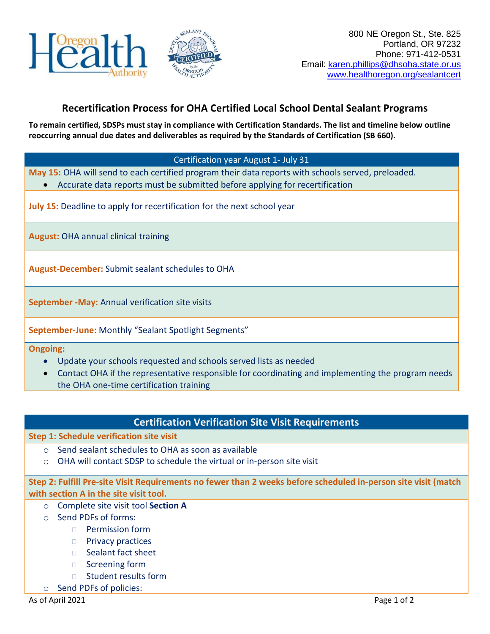

# **Recertification Process for OHA Certified Local School Dental Sealant Programs**

**To remain certified, SDSPs must stay in compliance with Certification Standards. The list and timeline below outline reoccurring annual due dates and deliverables as required by the Standards of Certification (SB 660).**

#### Certification year August 1- July 31

**May 15:** OHA will send to each certified program their data reports with schools served, preloaded.

• Accurate data reports must be submitted before applying for recertification

**July 15:** Deadline to apply for recertification for the next school year

**August:** OHA annual clinical training

**August-December:** Submit sealant schedules to OHA

**September -May:** Annual verification site visits

**September-June:** Monthly "Sealant Spotlight Segments"

**Ongoing:**

- Update your schools requested and schools served lists as needed
- Contact OHA if the representative responsible for coordinating and implementing the program needs the OHA one-time certification training

### **Certification Verification Site Visit Requirements**

#### **Step 1: Schedule verification site visit**

- o Send sealant schedules to OHA as soon as available
- o OHA will contact SDSP to schedule the virtual or in-person site visit

**Step 2: Fulfill Pre-site Visit Requirements no fewer than 2 weeks before scheduled in-person site visit (match with section A in the site visit tool.**

- o Complete site visit tool **Section A**
- o Send PDFs of forms:
	- **Permission form**
	- **Privacy practices**
	- □ Sealant fact sheet
	- □ Screening form
	- □ Student results form
- o Send PDFs of policies: